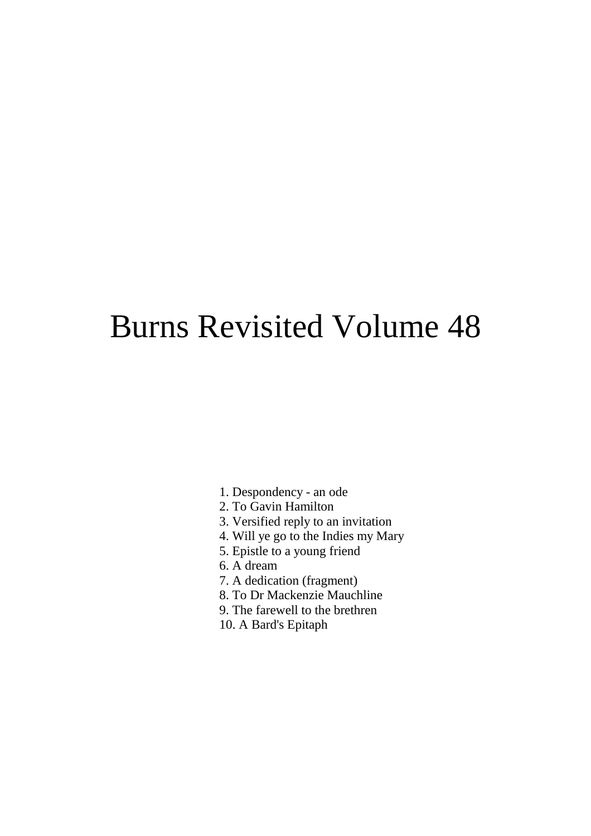# Burns Revisited Volume 48

- 1. Despondency an ode
- 2. To Gavin Hamilton
- 3. Versified reply to an invitation
- 4. Will ye go to the Indies my Mary
- 5. Epistle to a young friend
- 6. A dream
- 7. A dedication (fragment)
- 8. To Dr Mackenzie Mauchline
- 9. The farewell to the brethren
- 10. A Bard's Epitaph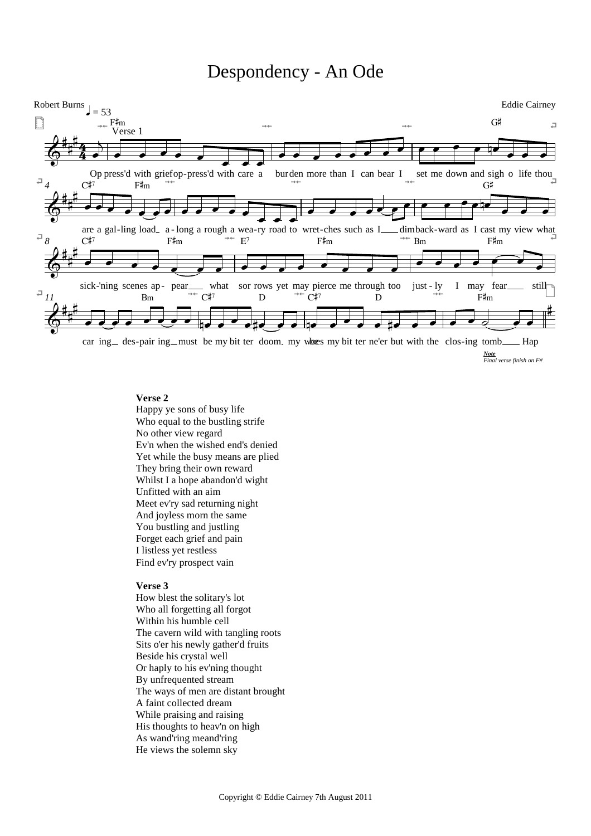# Despondency - An Ode



*Note Final verse finish on F#*

### **Verse 2**

Happy ye sons of busy life Who equal to the bustling strife No other view regard Ev'n when the wished end's denied Yet while the busy means are plied They bring their own reward Whilst I a hope abandon'd wight Unfitted with an aim Meet ev'ry sad returning night And joyless morn the same You bustling and justling Forget each grief and pain I listless yet restless Find ev'ry prospect vain

# **Verse 3**

How blest the solitary's lot Who all forgetting all forgot Within his humble cell The cavern wild with tangling roots Sits o'er his newly gather'd fruits Beside his crystal well Or haply to his ev'ning thought By unfrequented stream The ways of men are distant brought A faint collected dream While praising and raising His thoughts to heav'n on high As wand'ring meand'ring He views the solemn sky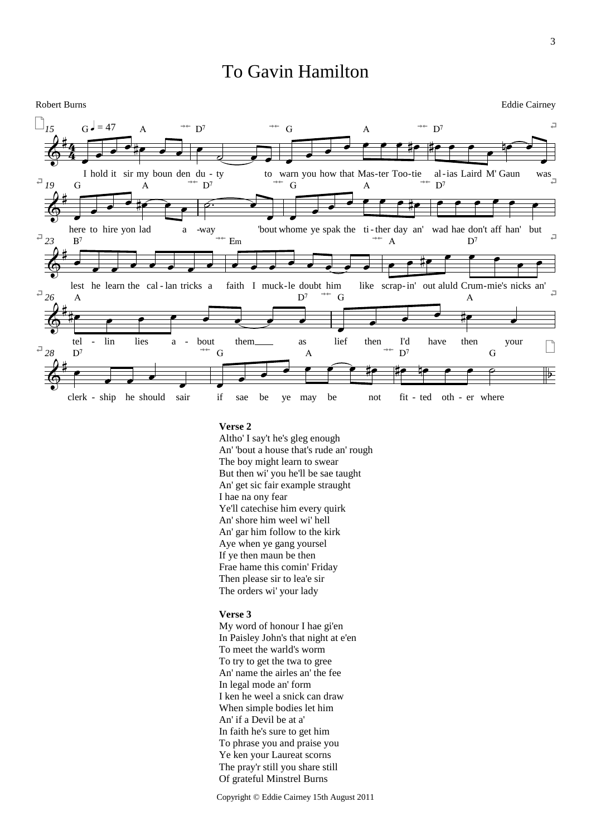# To Gavin Hamilton



### **Verse 2**

Altho' I say't he's gleg enough An' 'bout a house that's rude an' rough The boy might learn to swear But then wi' you he'll be sae taught An' get sic fair example straught I hae na ony fear Ye'll catechise him every quirk An' shore him weel wi' hell An' gar him follow to the kirk Aye when ye gang yoursel If ye then maun be then Frae hame this comin' Friday Then please sir to lea'e sir The orders wi' your lady

### **Verse 3**

My word of honour I hae gi'en In Paisley John's that night at e'en To meet the warld's worm To try to get the twa to gree An' name the airles an' the fee In legal mode an' form I ken he weel a snick can draw When simple bodies let him An' if a Devil be at a' In faith he's sure to get him To phrase you and praise you Ye ken your Laureat scorns The pray'r still you share still Of grateful Minstrel Burns

Copyright © Eddie Cairney 15th August 2011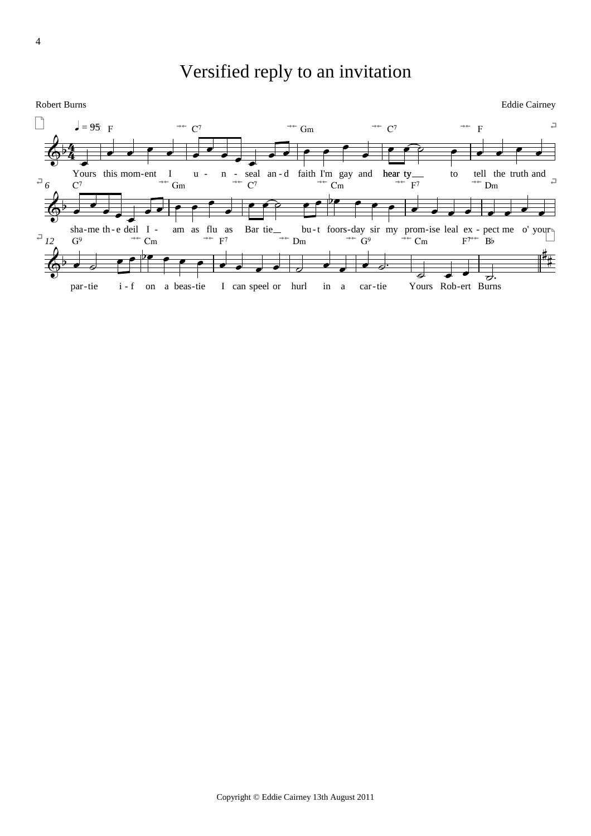# Versified reply to an invitation

Robert Burns

**Eddie Cairney** 

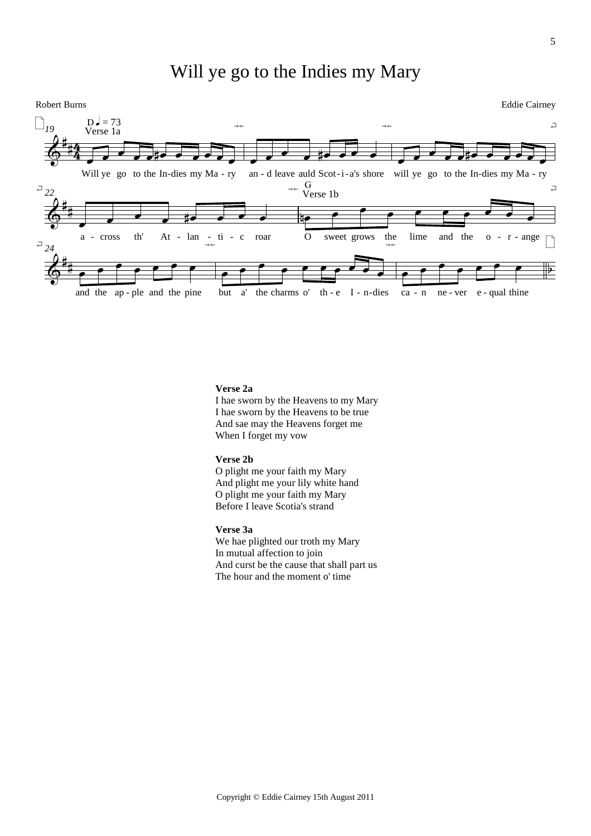# Will ye go to the Indies my Mary



### **Verse 2a**

I hae sworn by the Heavens to my Mary I hae sworn by the Heavens to be true And sae may the Heavens forget me When I forget my vow

### **Verse 2b**

O plight me your faith my Mary And plight me your lily white hand O plight me your faith my Mary Before I leave Scotia's strand

# **Verse 3a**

We hae plighted our troth my Mary In mutual affection to join And curst be the cause that shall part us The hour and the moment o' time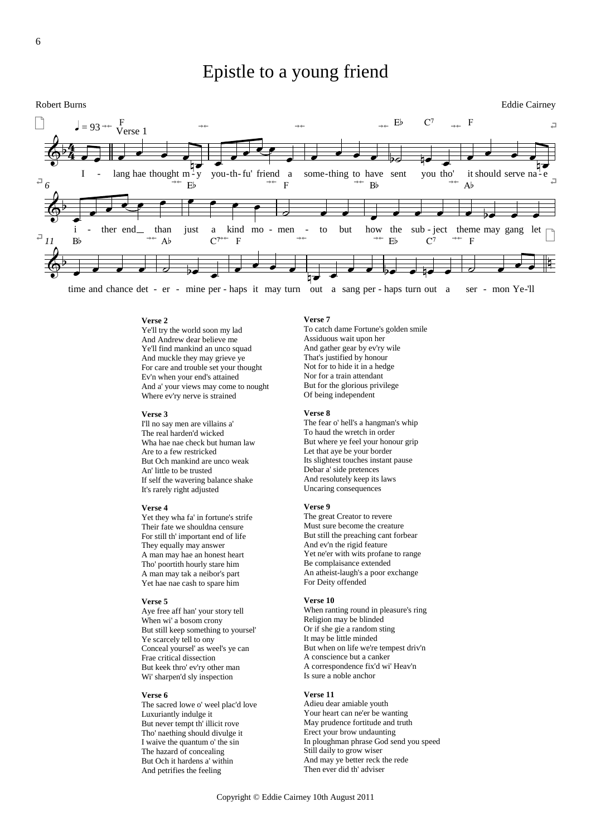# Epistle to a young friend





time and chance det - er - mine per - haps it may turn out a sang per - haps turn out a ser - mon Ye-'ll

**Verse 2**

Ye'll try the world soon my lad And Andrew dear believe me Ye'll find mankind an unco squad And muckle they may grieve ye For care and trouble set your thought Ev'n when your end's attained And a' your views may come to nought Where ev'ry nerve is strained

#### **Verse 3**

I'll no say men are villains a' The real harden'd wicked Wha hae nae check but human law Are to a few restricked But Och mankind are unco weak An' little to be trusted If self the wavering balance shake It's rarely right adjusted

#### **Verse 4**

Yet they wha fa' in fortune's strife Their fate we shouldna censure For still th' important end of life They equally may answer A man may hae an honest heart Tho' poortith hourly stare him A man may tak a neibor's part Yet hae nae cash to spare him

#### **Verse 5**

Aye free aff han' your story tell When wi' a bosom crony But still keep something to yoursel' Ye scarcely tell to ony Conceal yoursel' as weel's ye can Frae critical dissection But keek thro' ev'ry other man Wi' sharpen'd sly inspection

#### **Verse 6**

The sacred lowe o' weel plac'd love Luxuriantly indulge it But never tempt th' illicit rove Tho' naething should divulge it I waive the quantum o' the sin The hazard of concealing But Och it hardens a' within And petrifies the feeling

#### **Verse 7**

To catch dame Fortune's golden smile Assiduous wait upon her And gather gear by ev'ry wile That's justified by honour Not for to hide it in a hedge Nor for a train attendant But for the glorious privilege Of being independent

#### **Verse 8**

The fear o' hell's a hangman's whip To haud the wretch in order But where ye feel your honour grip Let that aye be your border Its slightest touches instant pause Debar a' side pretences And resolutely keep its laws Uncaring consequences

#### **Verse 9**

The great Creator to revere Must sure become the creature But still the preaching cant forbear And ev'n the rigid feature Yet ne'er with wits profane to range Be complaisance extended An atheist-laugh's a poor exchange For Deity offended

#### **Verse 10**

When ranting round in pleasure's ring Religion may be blinded Or if she gie a random sting It may be little minded But when on life we're tempest driv'n A conscience but a canker A correspondence fix'd wi' Heav'n Is sure a noble anchor

### **Verse 11**

Adieu dear amiable youth Your heart can ne'er be wanting May prudence fortitude and truth Erect your brow undaunting In ploughman phrase God send you speed Still daily to grow wiser And may ye better reck the rede Then ever did th' adviser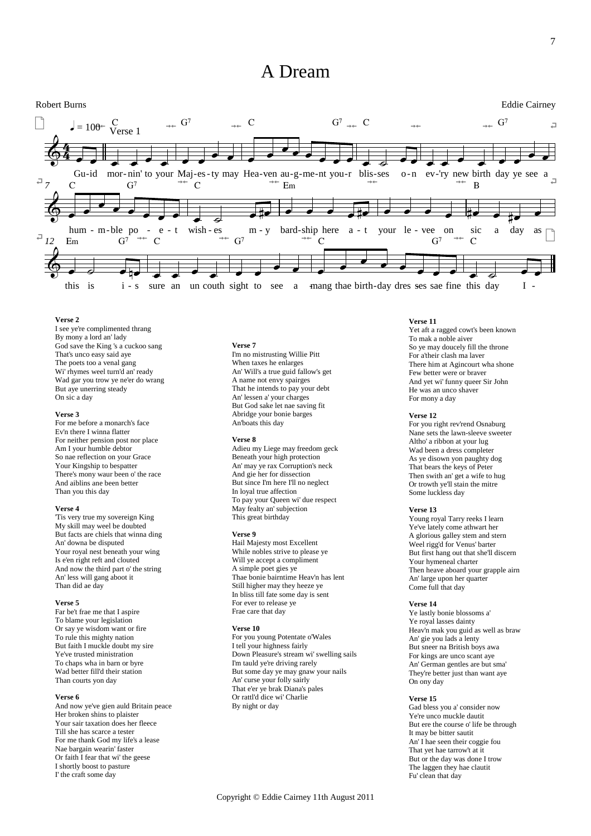# A Dream



#### **Verse 2**

I see ye're complimented thrang By mony a lord an' lady God save the King 's a cuckoo sang That's unco easy said aye The poets too a venal gang Wi' rhymes weel turn'd an' ready Wad gar you trow ye ne'er do wrang But aye unerring steady On sic a day

#### **Verse 3**

For me before a monarch's face Ev'n there I winna flatter For neither pension post nor place Am I your humble debtor So nae reflection on your Grace Your Kingship to bespatter There's mony waur been o' the race And aiblins ane been better Than you this day

#### **Verse 4**

'Tis very true my sovereign King My skill may weel be doubted But facts are chiels that winna ding An' downa be disputed Your royal nest beneath your wing Is e'en right reft and clouted And now the third part o' the string An' less will gang aboot it Than did ae day

#### **Verse 5**

Far be't frae me that I aspire To blame your legislation Or say ye wisdom want or fire To rule this mighty nation But faith I muckle doubt my sire Ye've trusted ministration To chaps wha in barn or byre Wad better fill'd their station Than courts yon day

#### **Verse 6**

And now ye've gien auld Britain peace Her broken shins to plaister Your sair taxation does her fleece Till she has scarce a tester For me thank God my life's a lease Nae bargain wearin' faster Or faith I fear that wi' the geese I shortly boost to pasture I' the craft some day

#### **Verse 7**

I'm no mistrusting Willie Pitt When taxes he enlarges An' Will's a true guid fallow's get A name not envy spairges That he intends to pay your debt An' lessen a' your charges But God sake let nae saving fit Abridge your bonie barges An'boats this day

### **Verse 8**

Adieu my Liege may freedom geck Beneath your high protection An' may ye rax Corruption's neck And gie her for dissection But since I'm here I'll no neglect In loyal true affection To pay your Queen wi' due respect May fealty an' subjection This great birthday

#### **Verse 9**

Hail Majesty most Excellent While nobles strive to please ye Will ye accept a compliment A simple poet gies ye Thae bonie bairntime Heav'n has lent Still higher may they heeze ye In bliss till fate some day is sent For ever to release ye Frae care that day

#### **Verse 10**

For you young Potentate o'Wales I tell your highness fairly Down Pleasure's stream wi' swelling sails I'm tauld ye're driving rarely But some day ye may gnaw your nails An' curse your folly sairly That e'er ye brak Diana's pales Or rattl'd dice wi' Charlie By night or day

# **Verse 11**

Yet aft a ragged cowt's been known To mak a noble aiver So ye may doucely fill the throne For a'their clash ma laver There him at Agincourt wha shone Few better were or braver And yet wi' funny queer Sir John He was an unco shaver For mony a day

#### **Verse 12**

For you right rev'rend Osnaburg Nane sets the lawn-sleeve sweeter Altho' a ribbon at your lug Wad been a dress completer As ye disown yon paughty dog That bears the keys of Peter Then swith an' get a wife to hug Or trowth ye'll stain the mitre Some luckless day

#### **Verse 13**

Young royal Tarry reeks I learn Ye've lately come athwart her A glorious galley stem and stern Weel rigg'd for Venus' barter But first hang out that she'll discern Your hymeneal charter Then heave aboard your grapple airn An' large upon her quarter Come full that day

#### **Verse 14**

Ye lastly bonie blossoms a' Ye royal lasses dainty Heav'n mak you guid as well as braw An' gie you lads a lenty But sneer na British boys awa For kings are unco scant aye An' German gentles are but sma' They're better just than want aye On ony day

#### **Verse 15**

Gad bless you a' consider now Ye're unco muckle dautit But ere the course o' life be through It may be bitter sautit An' I hae seen their coggie fou That yet hae tarrow't at it But or the day was done I trow The laggen they hae clautit Fu' clean that day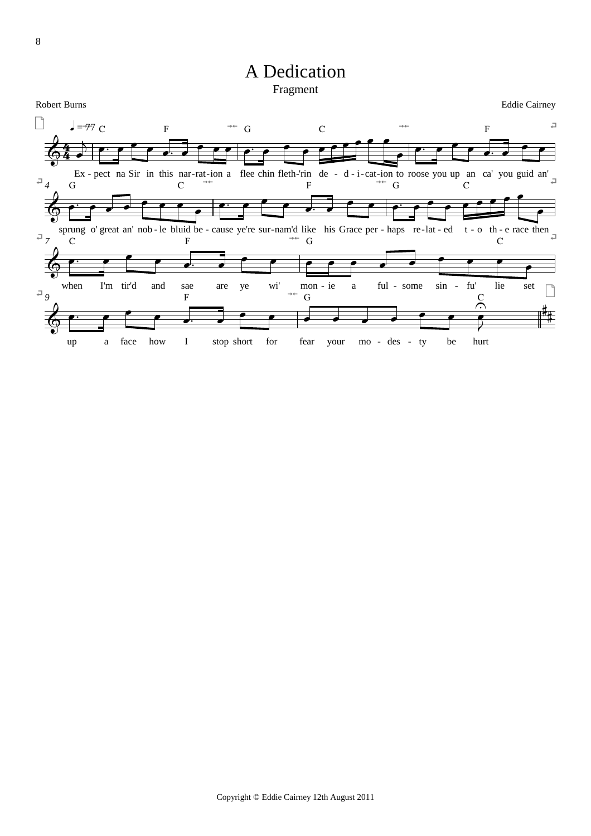# A Dedication Fragment

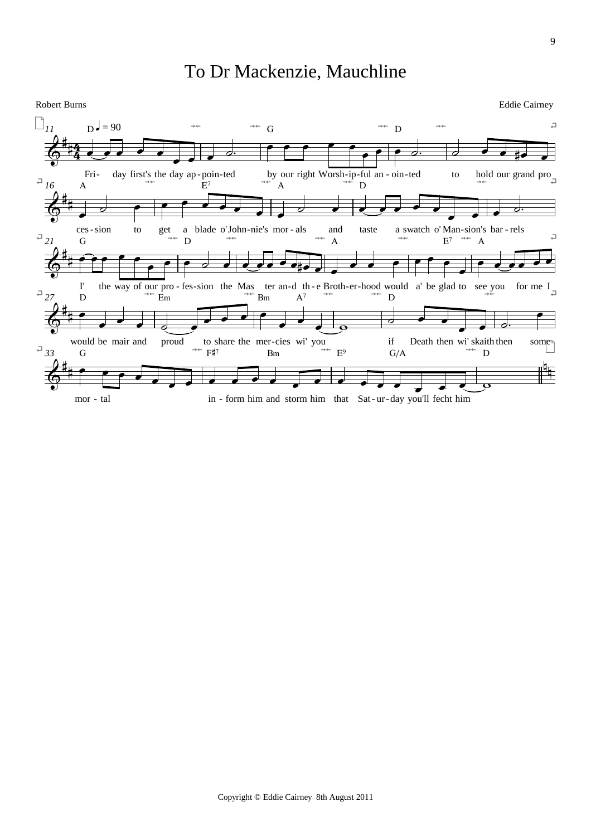# To Dr Mackenzie, Mauchline

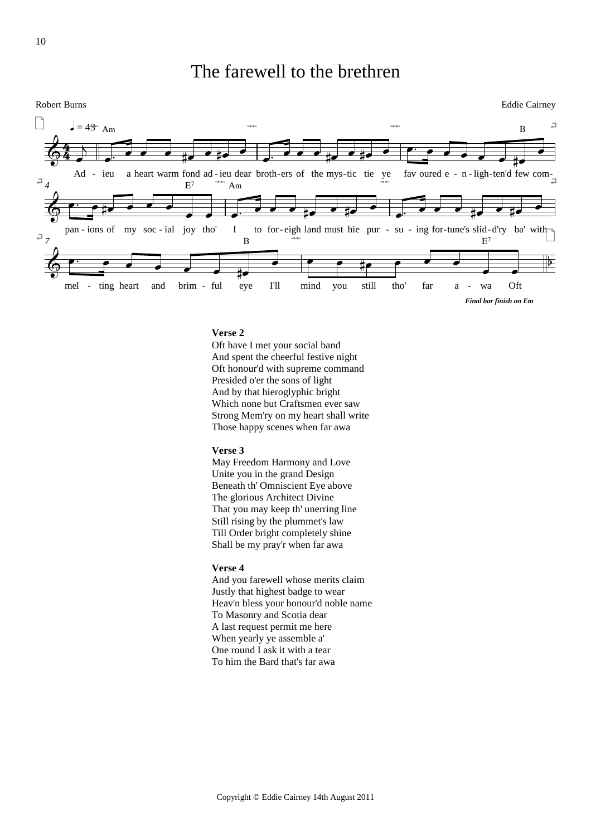# The farewell to the brethren



# **Verse 2**

Oft have I met your social band And spent the cheerful festive night Oft honour'd with supreme command Presided o'er the sons of light And by that hieroglyphic bright Which none but Craftsmen ever saw Strong Mem'ry on my heart shall write Those happy scenes when far awa

### **Verse 3**

May Freedom Harmony and Love Unite you in the grand Design Beneath th' Omniscient Eye above The glorious Architect Divine That you may keep th' unerring line Still rising by the plummet's law Till Order bright completely shine Shall be my pray'r when far awa

### **Verse 4**

And you farewell whose merits claim Justly that highest badge to wear Heav'n bless your honour'd noble name To Masonry and Scotia dear A last request permit me here When yearly ye assemble a' One round I ask it with a tear To him the Bard that's far awa

10